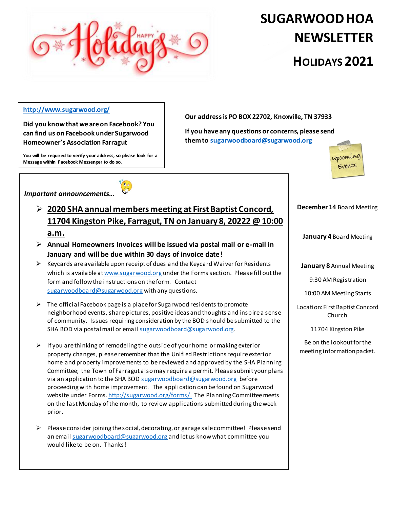

## **SUGARWOODHOA NEWSLETTER HOLIDAYS 2021**

## **<http://www.sugarwood.org/>**

**Did you know that we are on Facebook? You can find us on Facebook under Sugarwood Homeowner's Association Farragut**

**You will be required to verify your address, so please look for a** 

**Our address is PO BOX 22702, Knoxville, TN 37933**

**If you have any questions or concerns, please send them to [sugarwoodboard@sugarwood.org](mailto:sugarwoodboard@sugarwood.org)**



 $\hat{\bullet}$ 

**Message within Facebook Messenger to do so.** 



- **2020 SHA annual members meeting at First Baptist Concord, 11704 Kingston Pike, Farragut, TN on January 8, 20222 @ 10:00 a.m.**
- **Annual Homeowners Invoices will be issued via postal mail or e-mail in January and will be due within 30 days of invoice date!**
- $\triangleright$  Keycards are available upon receipt of dues and the Keycard Waiver for Residents which is available a[t www.sugarwood.org](http://www.sugarwood.org/) under the Forms section. Please fill out the form and follow the instructions on the form. Contact [sugarwoodboard@sugarwood.org](mailto:sugarwoodboard@sugarwood.org) with any questions.
- $\triangleright$  The official Facebook page is a place for Sugarwood residents to promote neighborhood events, share pictures, positive ideas and thoughts and inspire a sense of community. Issues requiring consideration by the BOD should be submitted to the SHA BOD via postal mail or emai[l sugarwoodboard@sugarwood.org](mailto:sugarwoodboard@sugarwood.org).
- $\triangleright$  If you are thinking of remodeling the outside of your home or making exterior property changes, please remember that the Unified Restrictions require exterior home and property improvements to be reviewed and approved by the SHA Planning Committee; the Town of Farragut also may require a permit. Please submit your plans via an application to the SHA BOD [sugarwoodboard@sugarwood.org](mailto:sugarwoodboard@sugarwood.org) before proceeding with home improvement. The application can be found on Sugarwood website under Forms[. http://sugarwood.org/forms/.](http://sugarwood.org/forms/) The Planning Committee meets on the last Monday of the month, to review applications submitted during the week prior.
- $\triangleright$  Please consider joining the social, decorating, or garage sale committee! Please send an emai[l sugarwoodboard@sugarwood.org](mailto:sugarwoodboard@sugarwood.org) and let us know what committee you would like to be on. Thanks!

**January 4** Board Meeting

**December 14** Board Meeting

**January 8** Annual Meeting

9:30 AM Registration

10:00 AM Meeting Starts

Location: First Baptist Concord Church

11704 Kingston Pike

Be on the lookout for the meeting information packet.